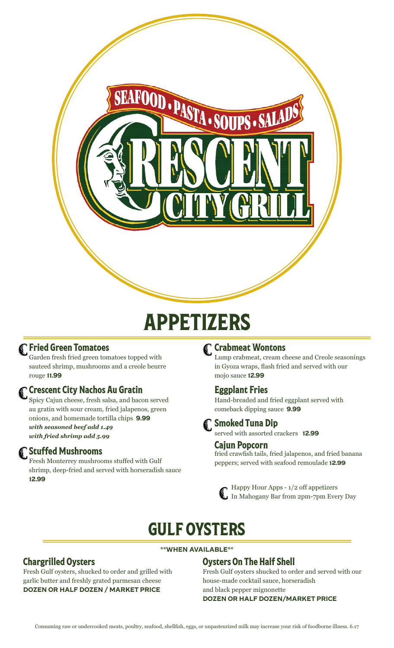

# APPETIZERS

#### Fried Green Tomatoes

Garden fresh fried green tomatoes topped with sauteed shrimp, mushrooms and a creole beurre rouge 11.99

#### Crescent City Nachos Au Gratin

Spicy Cajun cheese, fresh salsa, and bacon served au gratin with sour cream, fried jalapenos, green onions, and homemade tortilla chips 9.99 *with seasoned beef add 1.49 with fried shrimp add 5.99*

#### Stuffed Mushrooms

Fresh Monterrey mushrooms stuffed with Gulf shrimp, deep-fried and served with horseradish sauce 12.99

#### Crabmeat Wontons

Lump crabmeat, cream cheese and Creole seasonings in Gyoza wraps, flash fried and served with our mojo sauce 12.99

#### Eggplant Fries

Hand-breaded and fried eggplant served with comeback dipping sauce 9.99

#### **Smoked Tuna Dip**

served with assorted crackers **12.99** 

#### Cajun Popcorn

fried crawfish tails, fried jalapenos, and fried banana peppers; served with seafood remoulade 12.99

Happy Hour Apps - 1/2 off appetizers In Mahogany Bar from 2pm-7pm Every Day

# GULF OYSTERS

#### \*\*WHEN AVAILABLE\*\*

#### Oysters On The Half Shell

Fresh Gulf oysters shucked to order and served with our house-made cocktail sauce, horseradish and black pepper mignonette

## Chargrilled Oysters

Fresh Gulf oysters, shucked to order and grilled with garlic butter and freshly grated parmesan cheese DOZEN OR HALF DOZEN / MARKET PRICE

#### DOZEN OR HALF DOZEN/MARKET PRICE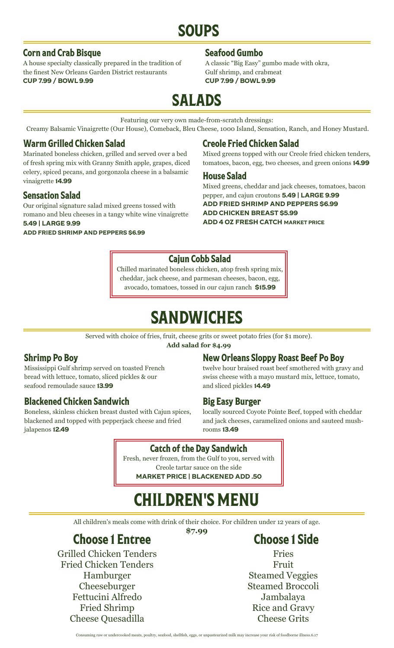# SOUPS

#### Corn and Crab Bisque

A house specialty classically prepared in the tradition of the finest New Orleans Garden District restaurants CUP 7.99 / BOWL 9.99

#### Seafood Gumbo

A classic "Big Easy" gumbo made with okra, Gulf shrimp, and crabmeat CUP 7.99 / BOWL 9.99

# SALADS

Featuring our very own made-from-scratch dressings:

Creamy Balsamic Vinaigrette (Our House), Comeback, Bleu Cheese, 1000 Island, Sensation, Ranch, and Honey Mustard.

#### Warm Grilled Chicken Salad

Marinated boneless chicken, grilled and served over a bed of fresh spring mix with Granny Smith apple, grapes, diced celery, spiced pecans, and gorgonzola cheese in a balsamic vinaigrette 14.99

#### Sensation Salad

Our original signature salad mixed greens tossed with romano and bleu cheeses in a tangy white wine vinaigrette 5.49 | LARGE 9.99

ADD FRIED SHRIMP AND PEPPERS \$6.99

#### Creole Fried Chicken Salad

Mixed greens topped with our Creole fried chicken tenders, tomatoes, bacon, egg, two cheeses, and green onions 14.99

#### House Salad

Mixed greens, cheddar and jack cheeses, tomatoes, bacon pepper, and cajun croutons 5.49 | LARGE 9.99 ADD FRIED SHRIMP AND PEPPERS \$6.99 ADD CHICKEN BREAST \$5.99 ADD 4 OZ FRESH CATCH MARKET PRICE

#### Cajun Cobb Salad

Chilled marinated boneless chicken, atop fresh spring mix, cheddar, jack cheese, and parmesan cheeses, bacon, egg, avocado, tomatoes, tossed in our cajun ranch \$15.99

# SANDWICHES

Served with choice of fries, fruit, cheese grits or sweet potato fries (for \$1 more).

**Add salad for \$4.99**

### Shrimp Po Boy

Mississippi Gulf shrimp served on toasted French bread with lettuce, tomato, sliced pickles & our seafood remoulade sauce 13.99

#### Blackened Chicken Sandwich

Boneless, skinless chicken breast dusted with Cajun spices, blackened and topped with pepperjack cheese and fried jalapenos 12.49

### New Orleans Sloppy Roast Beef Po Boy

twelve hour braised roast beef smothered with gravy and swiss cheese with a mayo mustard mix, lettuce, tomato, and sliced pickles 14.49

#### Big Easy Burger

locally sourced Coyote Pointe Beef, topped with cheddar and jack cheeses, caramelized onions and sauteed mushrooms 13.49

#### Catch of the Day Sandwich

Fresh, never frozen, from the Gulf to you, served with Creole tartar sauce on the side MARKET PRICE | BLACKENED ADD .50

# CHILDREN'S MENU

All children's meals come with drink of their choice. For children under 12 years of age. **\$7.99**

Choose 1 Entree

Grilled Chicken Tenders Fried Chicken Tenders Hamburger Cheeseburger Fettucini Alfredo Fried Shrimp Cheese Quesadilla

## Choose 1 Side

Fries Fruit Steamed Veggies Steamed Broccoli Jambalaya Rice and Gravy Cheese Grits

Consuming raw or undercooked meats, poultry, seafood, shellfish, eggs, or unpasteurized milk may increase your risk of foodborne illness.6.17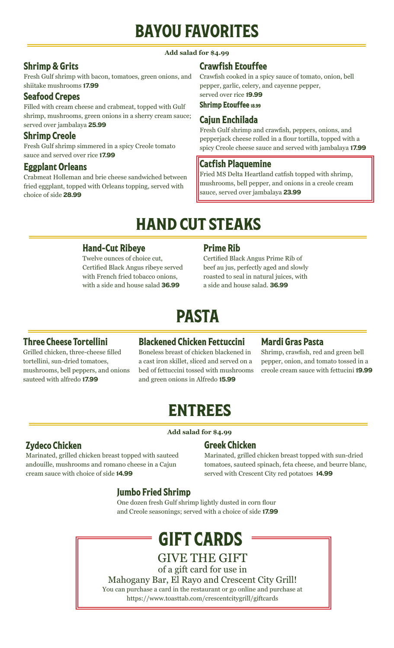# BAYOU FAVORITES

#### **Add salad for \$4.99**

#### Shrimp & Grits

Fresh Gulf shrimp with bacon, tomatoes, green onions, and shiitake mushrooms 17.99

#### Seafood Crepes

Filled with cream cheese and crabmeat, topped with Gulf shrimp, mushrooms, green onions in a sherry cream sauce; served over jambalaya 25.99

#### Shrimp Creole

Fresh Gulf shrimp simmered in a spicy Creole tomato sauce and served over rice 17.99

#### Eggplant Orleans

Crabmeat Holleman and brie cheese sandwiched between fried eggplant, topped with Orleans topping, served with choice of side 28.99

#### Crawfish Etouffee

Crawfish cooked in a spicy sauce of tomato, onion, bell pepper, garlic, celery, and cayenne pepper, served over rice 19.99

#### Shrimp Etouffee 18.99

#### Cajun Enchilada

Fresh Gulf shrimp and crawfish, peppers, onions, and pepperjack cheese rolled in a flour tortilla, topped with a spicy Creole cheese sauce and served with jambalaya 17.99

#### Catfish Plaquemine

Fried MS Delta Heartland catfish topped with shrimp, mushrooms, bell pepper, and onions in a creole cream sauce, served over jambalaya 23.99

# HAND CUT STEAKS

#### Hand-Cut Ribeye

Twelve ounces of choice cut, Certified Black Angus ribeye served with French fried tobacco onions, with a side and house salad 36.99

#### Prime Rib

Certified Black Angus Prime Rib of beef au jus, perfectly aged and slowly roasted to seal in natural juices, with a side and house salad. 36.99

# PASTA

#### Three Cheese Tortellini

Grilled chicken, three-cheese filled tortellini, sun-dried tomatoes, mushrooms, bell peppers, and onions sauteed with alfredo 17.99

#### Blackened Chicken Fettuccini

Boneless breast of chicken blackened in a cast iron skillet, sliced and served on a bed of fettuccini tossed with mushrooms and green onions in Alfredo 15.99

#### Mardi Gras Pasta

Shrimp, crawfish, red and green bell pepper, onion, and tomato tossed in a creole cream sauce with fettucini 19.99

# ENTREES

**Add salad for \$4.99**

#### Zydeco Chicken

Marinated, grilled chicken breast topped with sauteed andouille, mushrooms and romano cheese in a Cajun cream sauce with choice of side 14.99

#### Greek Chicken

Marinated, grilled chicken breast topped with sun-dried tomatoes, sauteed spinach, feta cheese, and beurre blanc, served with Crescent City red potatoes 14.99

#### Jumbo Fried Shrimp

One dozen fresh Gulf shrimp lightly dusted in corn flour and Creole seasonings; served with a choice of side 17.99

# GIFT CARDS

GIVE THE GIFT of a gift card for use in Mahogany Bar, El Rayo and Crescent City Grill! You can purchase a card in the restaurant or go online and purchase at https://www.toasttab.com/crescentcitygrill/giftcards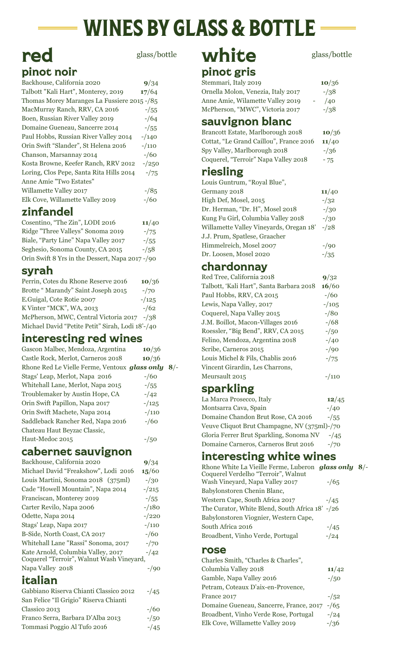# WINES BY GLASS & BOTTLE

## red pinot noir

| PHIUT IIUII                                 |           |  |  |
|---------------------------------------------|-----------|--|--|
| Backhouse, California 2020                  | 9/34      |  |  |
| Talbott "Kali Hart", Monterey, 2019         | 17/64     |  |  |
| Thomas Morey Maranges La Fussiere 2015 -/85 |           |  |  |
| MacMurray Ranch, RRV, CA 2016               | $- / 55$  |  |  |
| Boen, Russian River Valley 2019             | $-164$    |  |  |
| Domaine Gueneau, Sancerre 2014              | $-1/55$   |  |  |
| Paul Hobbs, Russian River Valley 2014       | $-140$    |  |  |
| Orin Swift "Slander", St Helena 2016        | $- / 110$ |  |  |
| Chanson, Marsannay 2014                     | $- / 60$  |  |  |
| Kosta Browne, Keefer Ranch, RRV 2012        | $-250$    |  |  |
| Loring, Clos Pepe, Santa Rita Hills 2014    | $-75$     |  |  |
| Anne Amie "Two Estates"                     |           |  |  |
| Willamette Valley 2017                      | $-185$    |  |  |
| Elk Cove, Willamette Valley 2019            | $- / 60$  |  |  |
|                                             |           |  |  |

## zinfandel

| Cosentino, "The Zin", LODI 2016                | 11/40   |
|------------------------------------------------|---------|
| Ridge "Three Valleys" Sonoma 2019              | $-75$   |
| Biale, "Party Line" Napa Valley 2017           | $-1/55$ |
| Seghesio, Sonoma County, CA 2015               | $-1.58$ |
| Orin Swift 8 Yrs in the Dessert, Napa 2017-/90 |         |

## syrah

| Perrin, Cotes du Rhone Reserve 2016              | 10/36  |
|--------------------------------------------------|--------|
| Brotte "Marandy" Saint Joseph 2015               | $-70$  |
| E.Guigal, Cote Rotie 2007                        | $-125$ |
| K Vinter "MCK", WA, 2013                         | $-162$ |
| McPherson, MWC, Central Victoria 2017 -/38       |        |
| Michael David "Petite Petit" Sirah, Lodi 18'-/40 |        |

## interesting red wines

| Gascon Malbec, Mendoza, Argentina             | 10/36     |    |
|-----------------------------------------------|-----------|----|
| Castle Rock, Merlot, Carneros 2018            | 10/36     |    |
| Rhone Red Le Vielle Ferme, Ventoux glass only |           | 8/ |
| Stags' Leap, Merlot, Napa 2016                | $- / 60$  |    |
| Whitehall Lane, Merlot, Napa 2015             | $-1/55$   |    |
| Troublemaker by Austin Hope, CA               | $-1/42$   |    |
| Orin Swift Papillon, Napa 2017                | $-125$    |    |
| Orin Swift Machete, Napa 2014                 | $- / 110$ |    |
| Saddleback Rancher Red, Napa 2016             | $- / 60$  |    |
| Chateau Haut Beyzac Classic,                  |           |    |
| Haut-Medoc 2015                               | $-150$    |    |
|                                               |           |    |

## cabernet sauvignon

| Backhouse, California 2020                                                      | 9/34       |
|---------------------------------------------------------------------------------|------------|
| Michael David "Freakshow", Lodi 2016                                            | 15/60      |
| Louis Martini, Sonoma 2018 (375ml)                                              | $-1/30$    |
| Cade "Howell Mountain", Napa 2014                                               | $^{-}/215$ |
| Franciscan, Monterey 2019                                                       | $-1/55$    |
| Carter Revilo, Napa 2006                                                        | $-180$     |
| Odette, Napa 2014                                                               | $-220$     |
| Stags' Leap, Napa 2017                                                          | $-110$     |
| B-Side, North Coast, CA 2017                                                    | $-160$     |
| Whitehall Lane "Rassi" Sonoma, 2017                                             | $-70$      |
| Kate Arnold, Columbia Valley, 2017<br>Coquerel "Terroir", Walnut Wash Vineyard, | $-1/42$    |
| Napa Valley 2018                                                                | $-90$      |
| italian                                                                         |            |

#### Gabbiano Riserva Chianti Classico 2012 -/45 San Felice "Il Grigio" Riserva Chianti Classico 2013 -/60 Franco Serra, Barbara D'Alba 2013 -/50 Tommasi Poggio Al Tufo 2016 -/45

# glass/bottle **white** glass/bottle

# pinot gris

| Stemmari, Italy 2019               | 10/36   |
|------------------------------------|---------|
| Ornella Molon, Venezia, Italy 2017 | $-1/38$ |
| Anne Amie, Wilamette Valley 2019   | /40     |
| McPherson, "MWC", Victoria 2017    | $-1/38$ |
|                                    |         |

## sauvignon blanc

| Brancott Estate, Marlborough 2018       | 10/36   |
|-----------------------------------------|---------|
| Cottat, "Le Grand Caillou", France 2016 | 11/40   |
| Spy Valley, Marlborough 2018            | $-1/36$ |
| Coquerel, "Terroir" Napa Valley 2018    | $-75$   |

## riesling

Louis Guntrum, "Royal Blue", Germany 2018 **11**/40 High Def, Mosel, 2015 -/32 Dr. Herman, "Dr. H", Mosel 2018 -/30 Kung Fu Girl, Columbia Valley 2018 -/30 Willamette Valley Vineyards, Oregan 18' -/28 J.J. Prum, Spatlese, Graacher Himmelreich, Mosel 2007 -/90 Dr. Loosen, Mosel 2020 -/35

## chardonnay

| Red Tree, California 2018                | 9/32     |
|------------------------------------------|----------|
| Talbott, 'Kali Hart", Santa Barbara 2018 | 16/60    |
| Paul Hobbs, RRV, CA 2015                 | $- / 60$ |
| Lewis, Napa Valley, 2017                 | $-105$   |
| Coquerel, Napa Valley 2015               | $-80$    |
| J.M. Boillot, Macon-Villages 2016        | $-168$   |
| Roessler, "Big Bend", RRV, CA 2015       | $-/-50$  |
| Felino, Mendoza, Argentina 2018          | $-40$    |
| Scribe, Carneros 2015                    | $-90$    |
| Louis Michel & Fils, Chablis 2016        | $-75$    |
| Vincent Girardin, Les Charrons,          |          |
| Meursault 2015                           | $-110$   |
| sparkling                                |          |

| La Marca Prosecco, Italy                     | 12/45    |
|----------------------------------------------|----------|
| Montsarra Cava, Spain                        | $-40$    |
| Domaine Chandon Brut Rose, CA 2016           | $- / 55$ |
| Veuve Cliquot Brut Champagne, NV (375ml)-/70 |          |
| Gloria Ferrer Brut Sparkling, Sonoma NV      | $-1/45$  |
| Domaine Carneros, Carneros Brut 2016         | $-70$    |
|                                              |          |

## interesting white wines

| Rhone White La Vieille Ferme, Luberon glass only 8/- |        |  |
|------------------------------------------------------|--------|--|
| Coquerel Verdelho "Terroir", Walnut                  |        |  |
| Wash Vineyard, Napa Valley 2017                      | $-165$ |  |
| Babylonstoren Chenin Blanc,                          |        |  |
| Western Cape, South Africa 2017                      | $-145$ |  |
| The Curator, White Blend, South Africa 18' -/26      |        |  |
| Babylonstoren Viognier, Western Cape,                |        |  |
| South Africa 2016                                    | $-145$ |  |
| Broadbent, Vinho Verde, Portugal                     | $-124$ |  |
| MOS                                                  |        |  |

## rose

| Charles Smith, "Charles & Charles",     |          |
|-----------------------------------------|----------|
| Columbia Valley 2018                    | 11/42    |
| Gamble, Napa Valley 2016                | $- / 50$ |
| Petram, Coteaux D'aix-en-Provence,      |          |
| France 2017                             | $-1.52$  |
| Domaine Gueneau, Sancerre, France, 2017 | $-165$   |
| Broadbent, Vinho Verde Rose, Portugal   | $-124$   |
| Elk Cove, Willamette Valley 2019        | $-136$   |
|                                         |          |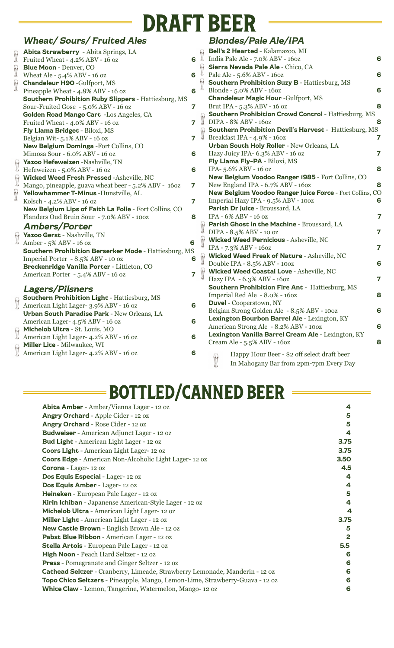# DRAFT BEER

|                                        | <b>Wheat/ Sours/ Fruited Ales</b>                                                     |                         |                      | <b>Blondes/Pale</b>                               |
|----------------------------------------|---------------------------------------------------------------------------------------|-------------------------|----------------------|---------------------------------------------------|
|                                        | Abita Strawberry - Abita Springs, LA                                                  |                         |                      | <b>Bell's 2 Hearted - K</b>                       |
| $\sqrt{2}$                             | Fruited Wheat - 4.2% ABV - 16 oz                                                      | 6                       | $\sqrt{2}$           | India Pale Ale - 7.0%                             |
| $\sqrt{2}$                             | <b>Blue Moon - Denver, CO</b>                                                         |                         |                      | Sierra Nevada Pale<br>Pale Ale - 5.6% ABV         |
|                                        | Wheat Ale - 5.4% ABV - 16 oz                                                          | 6                       |                      |                                                   |
| $\sqrt{2}$                             | <b>Chandeleur H9O -Gulfport, MS</b>                                                   |                         |                      | <b>Southern Prohibiti</b>                         |
|                                        | Pineapple Wheat - 4.8% ABV - 16 oz                                                    | 6                       |                      | Blonde - 5.0% ABV -                               |
|                                        | <b>Southern Prohibition Ruby Slippers - Hattiesburg, MS</b>                           |                         |                      | <b>Chandeleur Magic I</b>                         |
|                                        | Sour-Fruited Gose - 5.0% ABV - 16 oz                                                  | $\overline{7}$          |                      | Brut IPA - 5.3% ABV                               |
|                                        | Golden Road Mango Cart -Los Angeles, CA                                               |                         |                      | <b>Southern Prohibiti</b>                         |
|                                        | Fruited Wheat - 4.0% ABV - 16 oz                                                      | $\overline{7}$          |                      | DIPA - 8% ABV - 16                                |
|                                        | Fly Llama Bridget - Biloxi, MS                                                        |                         |                      | <b>Southern Prohibiti</b><br>Breakfast IPA - 4.9% |
|                                        | Belgian Wit-5.1% ABV - 16 oz                                                          | $\overline{7}$          |                      |                                                   |
|                                        | New Belgium Dominga - Fort Collins, CO                                                |                         |                      | <b>Urban South Holy</b>                           |
|                                        | Mimosa Sour - 6.0% ABV - 16 oz                                                        | 6                       |                      | Hazy Juicy IPA- 6.39                              |
|                                        | Yazoo Hefeweizen -Nashville, TN                                                       |                         |                      | Fly Llama Fly-PA -                                |
|                                        | Yazoo Hereweizen - Nashvine,                                                          | 6                       |                      | IPA-5.6% ABV - 16 0                               |
| $\sqrt{\frac{1}{2}}$                   | <b>Wicked Weed Fresh Pressed -Asheville, NC</b>                                       |                         |                      | <b>New Belgium Vood</b>                           |
|                                        | Mango, pineapple, guava wheat beer - 5.2% ABV - 160z                                  | $\overline{\mathbf{z}}$ |                      | New England IPA - 6                               |
|                                        | Yellowhammer T-Minus - Hunstville, AL                                                 |                         |                      | <b>New Belgium Vood</b>                           |
|                                        | Kolsch - 4.2% ABV - 16 oz                                                             | $\overline{7}$          |                      | Imperial Hazy IPA -                               |
|                                        | New Belgium Lips of Faith La Folie - Fort Collins, CO                                 |                         |                      | Parish Dr Juice - Br                              |
|                                        | Flanders Oud Bruin Sour - 7.0% ABV - 100Z                                             | 8                       |                      | IPA - 6% ABV - 16 oz                              |
|                                        | <b>Ambers/Porter</b>                                                                  |                         | $\sqrt{\frac{1}{2}}$ | <b>Parish Ghost in the</b>                        |
|                                        | Yazoo Gerst - Nashville, TN                                                           |                         |                      | $DIPA - 8.5\% ABV - 10$                           |
| $\begin{bmatrix} 1 \\ 1 \end{bmatrix}$ | Amber - 5% ABV - 16 oz                                                                | 6                       | $\sqrt{2}$           | <b>Wicked Weed Pern</b>                           |
|                                        | Southern Prohibition Berserker Mode - Hattiesburg, MS                                 |                         |                      | IPA - 7.3% ABV - 160                              |
|                                        | Imperial Porter - 8.5% ABV - 10 oz                                                    | 6                       | $\sqrt{2}$           | <b>Wicked Weed Freal</b>                          |
|                                        | Breckenridge Vanilla Porter - Littleton, CO                                           |                         |                      | Double IPA - 8.5% A                               |
|                                        | American Porter - 5.4% ABV - 16 oz                                                    | $\overline{7}$          |                      | <b>Wicked Weed Coas</b>                           |
|                                        |                                                                                       |                         |                      | Hazy IPA - 6.3% AB                                |
|                                        | <b>Lagers/Pilsners</b>                                                                |                         |                      | Southern Prohibiti                                |
|                                        | Southern Prohibition Light - Hattiesburg, MS                                          |                         |                      | Imperial Red Ale - 8                              |
|                                        | <b>Southern Prombition Light</b> - Hattlesb<br>Merrican Light Lager- 3.9% ABV - 16 oz | 6                       |                      | <b>Duvel - Cooperstown</b>                        |
|                                        | Urban South Paradise Park - New Orleans, LA                                           |                         |                      | Belgian Strong Golde                              |
|                                        | American Lager- 4.5% ABV - 16 oz                                                      | 6                       |                      | <b>Lexington Bourbor</b>                          |
|                                        |                                                                                       |                         |                      | American Strong Ale                               |
|                                        | Michelob Ultra - St. Louis, MO<br>American Light Lager- 4.2% ABV - 16 oz              | 6                       |                      | <b>Lexington Vanilla E</b>                        |
|                                        | Miller Lite - Milwaukee, WI                                                           |                         |                      | Cream Ale - 5.5% AB                               |
|                                        | <b>Miller Lite</b> - Milwaukee, WI<br>American Light Lager- 4.2% ABV - 16 oz          | 6                       |                      |                                                   |
|                                        |                                                                                       |                         |                      | Happy Hour<br>$f_{11}$                            |

#### Ale/IPA

|    | $\sqrt{2}$                             | Bell's 2 Hearted - Kalamazoo, MI                                                         |   |
|----|----------------------------------------|------------------------------------------------------------------------------------------|---|
|    |                                        | India Pale Ale - 7.0% ABV - 160z                                                         | 6 |
|    |                                        | Sierra Nevada Pale Ale - Chico, CA                                                       |   |
|    |                                        | Pale Ale - 5.6% ABV - 160z                                                               | 6 |
|    | $\begin{bmatrix} 1 \\ 1 \end{bmatrix}$ | <b>Southern Prohibition Suzy B - Hattiesburg, MS</b>                                     |   |
|    |                                        | Blonde - 5.0% ABV - 160Z                                                                 | 6 |
|    |                                        | <b>Chandeleur Magic Hour -Gulfport, MS</b>                                               |   |
|    |                                        | Brut IPA - 5.3% ABV - 16 oz                                                              | 8 |
| j. |                                        | <b>Southern Prohibition Crowd Control - Hattiesburg, MS</b><br>DIPA - $8\%$ ABV - $160z$ | 8 |
|    |                                        |                                                                                          |   |
|    |                                        | Southern Prohibition Devil's Harvest - Hattiesburg, MS<br>Breakfast IPA - 4.9% - 160z    | 7 |
|    |                                        | Urban South Holy Roller - New Orleans, LA                                                |   |
|    |                                        | Hazy Juicy IPA- 6.3% ABV - 16 oz                                                         | 7 |
|    |                                        | Fly Llama Fly-PA - Biloxi, MS                                                            |   |
|    |                                        | IPA-5.6% ABV - 16 oz                                                                     | 8 |
|    |                                        | New Belgium Voodoo Ranger 1985 - Fort Collins, CO                                        |   |
|    |                                        | New England IPA - 6.7% ABV - 160z                                                        | 8 |
|    |                                        | New Belgium Voodoo Ranger Juice Force - Fort Collins, CO                                 |   |
|    |                                        | Imperial Hazy IPA - 9.5% ABV - 100Z                                                      | 6 |
|    |                                        | Parish Dr Juice - Broussard, LA                                                          |   |
|    |                                        | IPA - 6% ABV - 16 oz                                                                     | 7 |
|    |                                        | Parish Ghost in the Machine - Broussard, LA                                              |   |
|    |                                        | <b>III</b> DIPA - 8.5% ABV - 10 oz                                                       | 7 |
|    |                                        | Wicked Weed Pernicious - Asheville, NC<br>IBA 7.2% ABV 1607                              |   |
|    |                                        | IPA - 7.3% ABV - 160Z                                                                    | 7 |
|    |                                        |                                                                                          |   |
|    |                                        | Wicked Weed Freak of Nature - Asheville, NC<br>Double IPA - 8.5% ABV - 100Z              | 6 |
|    |                                        | Wicked Weed Coastal Love - Asheville, NC                                                 |   |
|    |                                        | Hazy IPA - 6.3% ABV - 160z                                                               | 7 |
|    |                                        | Southern Prohibition Fire Ant - Hattiesburg, MS                                          |   |
|    |                                        | Imperial Red Ale - 8.0% - 160z                                                           | 8 |
|    |                                        | <b>Duvel</b> - Cooperstown, NY                                                           |   |
|    |                                        | Belgian Strong Golden Ale - 8.5% ABV - 100Z                                              | 6 |
|    |                                        | Lexington Bourbon Barrel Ale - Lexington, KY                                             |   |
|    |                                        | American Strong Ale - 8.2% ABV - 100Z                                                    | 6 |
|    |                                        | Lexington Vanilla Barrel Cream Ale - Lexington, KY                                       |   |
|    |                                        | Cream Ale - 5.5% ABV - 160z                                                              | 8 |
|    |                                        | Happy Hour Beer - \$2 off select draft beer                                              |   |
|    |                                        | $\mathcal{L}$<br>In Mahogany Bar from 2pm-7pm Every Day                                  |   |
|    |                                        |                                                                                          |   |

# BOTTLED/CANNED BEER

| Abita Amber - Amber/Vienna Lager - 12 oz                                     | 4            |  |
|------------------------------------------------------------------------------|--------------|--|
| Angry Orchard - Apple Cider - 12 oz                                          | 5            |  |
| Angry Orchard - Rose Cider - 12 oz                                           | 5            |  |
| Budweiser - American Adjunct Lager - 12 oz                                   | 4            |  |
| Bud Light - American Light Lager - 12 oz                                     | 3.75         |  |
| Coors Light - American Light Lager-12 oz                                     | 3.75         |  |
| <b>Coors Edge</b> - American Non-Alcoholic Light Lager-12 oz                 | 3.50         |  |
| Corona - Lager-12 oz                                                         | 4.5          |  |
| Dos Equis Especial - Lager-12 oz                                             | 4            |  |
| Dos Equis Amber - Lager-12 oz                                                | 4            |  |
| Heineken - European Pale Lager - 12 oz                                       | 5            |  |
| Kirin Ichiban - Japanense American-Style Lager - 12 oz                       | 4            |  |
| Michelob Ultra - American Light Lager-12 oz                                  | 4            |  |
| Miller Light - American Light Lager - 12 oz                                  | 3.75         |  |
| New Castle Brown - English Brown Ale - 12 oz                                 | 5            |  |
| Pabst Blue Ribbon - American Lager - 12 oz                                   | $\mathbf{z}$ |  |
| <b>Stella Artois - European Pale Lager - 12 oz</b>                           | 5.5          |  |
| High Noon - Peach Hard Seltzer - 12 oz                                       | 6            |  |
| <b>Press</b> - Pomegranate and Ginger Seltzer - 12 oz                        | 6            |  |
| Cathead Seltzer - Cranberry, Limeade, Strawberry Lemonade, Manderin - 12 oz  | 6            |  |
| Topo Chico Seltzers - Pineapple, Mango, Lemon-Lime, Strawberry-Guava - 12 oz |              |  |
| White Claw - Lemon, Tangerine, Watermelon, Mango-12 oz                       | 6            |  |